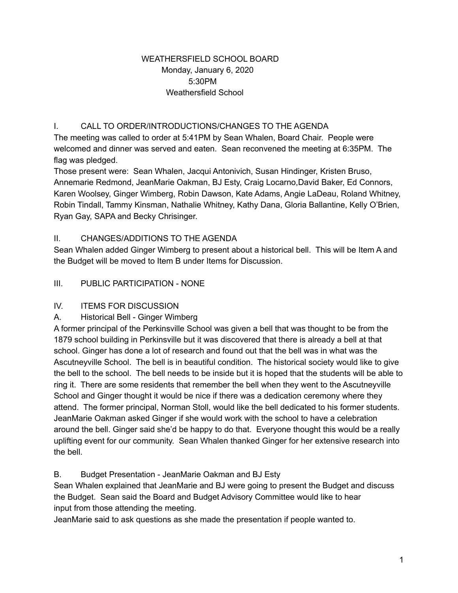### WEATHERSFIELD SCHOOL BOARD Monday, January 6, 2020 5:30PM Weathersfield School

# I. CALL TO ORDER/INTRODUCTIONS/CHANGES TO THE AGENDA

The meeting was called to order at 5:41PM by Sean Whalen, Board Chair. People were welcomed and dinner was served and eaten. Sean reconvened the meeting at 6:35PM. The flag was pledged.

Those present were: Sean Whalen, Jacqui Antonivich, Susan Hindinger, Kristen Bruso, Annemarie Redmond, JeanMarie Oakman, BJ Esty, Craig Locarno,David Baker, Ed Connors, Karen Woolsey, Ginger Wimberg, Robin Dawson, Kate Adams, Angie LaDeau, Roland Whitney, Robin Tindall, Tammy Kinsman, Nathalie Whitney, Kathy Dana, Gloria Ballantine, Kelly O'Brien, Ryan Gay, SAPA and Becky Chrisinger.

## II. CHANGES/ADDITIONS TO THE AGENDA

Sean Whalen added Ginger Wimberg to present about a historical bell. This will be Item A and the Budget will be moved to Item B under Items for Discussion.

## III. PUBLIC PARTICIPATION - NONE

#### IV. ITEMS FOR DISCUSSION

#### A. Historical Bell - Ginger Wimberg

A former principal of the Perkinsville School was given a bell that was thought to be from the 1879 school building in Perkinsville but it was discovered that there is already a bell at that school. Ginger has done a lot of research and found out that the bell was in what was the Ascutneyville School. The bell is in beautiful condition. The historical society would like to give the bell to the school. The bell needs to be inside but it is hoped that the students will be able to ring it. There are some residents that remember the bell when they went to the Ascutneyville School and Ginger thought it would be nice if there was a dedication ceremony where they attend. The former principal, Norman Stoll, would like the bell dedicated to his former students. JeanMarie Oakman asked Ginger if she would work with the school to have a celebration around the bell. Ginger said she'd be happy to do that. Everyone thought this would be a really uplifting event for our community. Sean Whalen thanked Ginger for her extensive research into the bell.

#### B. Budget Presentation - JeanMarie Oakman and BJ Esty

Sean Whalen explained that JeanMarie and BJ were going to present the Budget and discuss the Budget. Sean said the Board and Budget Advisory Committee would like to hear input from those attending the meeting.

JeanMarie said to ask questions as she made the presentation if people wanted to.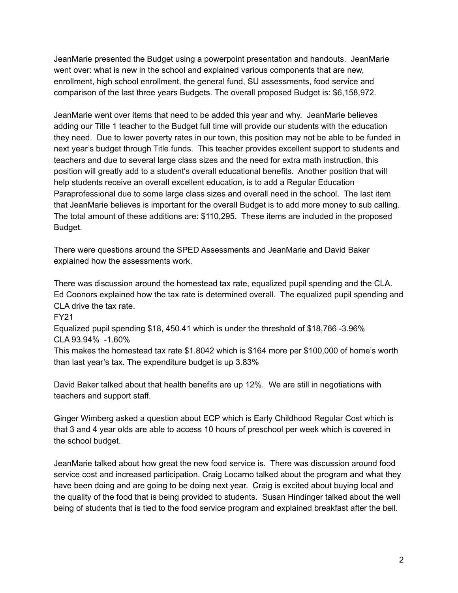JeanMarie presented the Budget using a powerpoint presentation and handouts. JeanMarie went over: what is new in the school and explained various components that are new, enrollment, high school enrollment, the general fund, SU assessments, food service and comparison of the last three years Budgets. The overall proposed Budget is: \$6,158,972.

JeanMarie went over items that need to be added this year and why. JeanMarie believes adding our Title 1 teacher to the Budget full time will provide our students with the education they need. Due to lower poverty rates in our town, this position may not be able to be funded in next year's budget through Title funds. This teacher provides excellent support to students and teachers and due to several large class sizes and the need for extra math instruction, this position will greatly add to a student's overall educational benefits. Another position that will help students receive an overall excellent education, is to add a Regular Education Paraprofessional due to some large class sizes and overall need in the school. The last item that JeanMarie believes is important for the overall Budget is to add more money to sub calling. The total amount of these additions are: \$110,295. These items are included in the proposed Budget.

There were questions around the SPED Assessments and JeanMarie and David Baker explained how the assessments work.

There was discussion around the homestead tax rate, equalized pupil spending and the CLA. Ed Coonors explained how the tax rate is determined overall. The equalized pupil spending and CLA drive the tax rate.

FY21

Equalized pupil spending \$18, 450.41 which is under the threshold of \$18,766 -3.96% CLA 93.94% -1.60%

This makes the homestead tax rate \$1.8042 which is \$164 more per \$100,000 of home's worth than last year's tax. The expenditure budget is up 3.83%

David Baker talked about that health benefits are up 12%. We are still in negotiations with teachers and support staff.

Ginger Wimberg asked a question about ECP which is Early Childhood Regular Cost which is that 3 and 4 year olds are able to access 10 hours of preschool per week which is covered in the school budget.

JeanMarie talked about how great the new food service is. There was discussion around food service cost and increased participation. Craig Locarno talked about the program and what they have been doing and are going to be doing next year. Craig is excited about buying local and the quality of the food that is being provided to students. Susan Hindinger talked about the well being of students that is tied to the food service program and explained breakfast after the bell.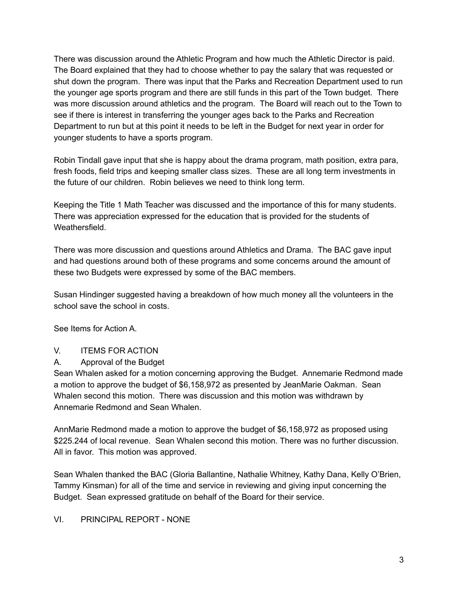There was discussion around the Athletic Program and how much the Athletic Director is paid. The Board explained that they had to choose whether to pay the salary that was requested or shut down the program. There was input that the Parks and Recreation Department used to run the younger age sports program and there are still funds in this part of the Town budget. There was more discussion around athletics and the program. The Board will reach out to the Town to see if there is interest in transferring the younger ages back to the Parks and Recreation Department to run but at this point it needs to be left in the Budget for next year in order for younger students to have a sports program.

Robin Tindall gave input that she is happy about the drama program, math position, extra para, fresh foods, field trips and keeping smaller class sizes. These are all long term investments in the future of our children. Robin believes we need to think long term.

Keeping the Title 1 Math Teacher was discussed and the importance of this for many students. There was appreciation expressed for the education that is provided for the students of Weathersfield.

There was more discussion and questions around Athletics and Drama. The BAC gave input and had questions around both of these programs and some concerns around the amount of these two Budgets were expressed by some of the BAC members.

Susan Hindinger suggested having a breakdown of how much money all the volunteers in the school save the school in costs.

See Items for Action A.

#### V. ITEMS FOR ACTION

A. Approval of the Budget

Sean Whalen asked for a motion concerning approving the Budget. Annemarie Redmond made a motion to approve the budget of \$6,158,972 as presented by JeanMarie Oakman. Sean Whalen second this motion. There was discussion and this motion was withdrawn by Annemarie Redmond and Sean Whalen.

AnnMarie Redmond made a motion to approve the budget of \$6,158,972 as proposed using \$225.244 of local revenue. Sean Whalen second this motion. There was no further discussion. All in favor. This motion was approved.

Sean Whalen thanked the BAC (Gloria Ballantine, Nathalie Whitney, Kathy Dana, Kelly O'Brien, Tammy Kinsman) for all of the time and service in reviewing and giving input concerning the Budget. Sean expressed gratitude on behalf of the Board for their service.

#### VI. PRINCIPAL REPORT - NONE